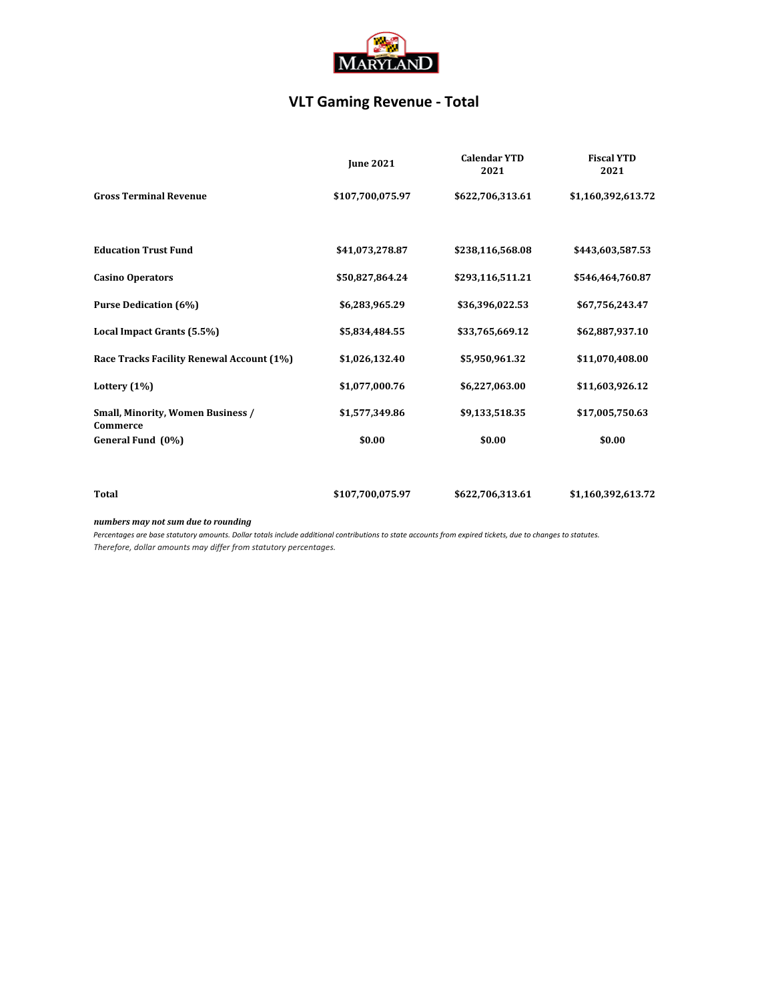

### **VLT Gaming Revenue - Total**

|                                                      | <b>June 2021</b> | <b>Calendar YTD</b><br>2021 | <b>Fiscal YTD</b><br>2021 |
|------------------------------------------------------|------------------|-----------------------------|---------------------------|
| <b>Gross Terminal Revenue</b>                        | \$107,700,075.97 | \$622,706,313.61            | \$1,160,392,613.72        |
| <b>Education Trust Fund</b>                          | \$41,073,278.87  | \$238,116,568.08            | \$443,603,587.53          |
| <b>Casino Operators</b>                              | \$50,827,864.24  | \$293,116,511.21            | \$546,464,760.87          |
| <b>Purse Dedication (6%)</b>                         | \$6,283,965.29   | \$36,396,022.53             | \$67,756,243.47           |
| Local Impact Grants (5.5%)                           | \$5,834,484.55   | \$33,765,669.12             | \$62,887,937.10           |
| Race Tracks Facility Renewal Account (1%)            | \$1,026,132.40   | \$5,950,961.32              | \$11,070,408.00           |
| Lottery $(1%)$                                       | \$1,077,000.76   | \$6,227,063.00              | \$11,603,926.12           |
| <b>Small, Minority, Women Business /</b><br>Commerce | \$1,577,349.86   | \$9,133,518.35              | \$17,005,750.63           |
| General Fund (0%)                                    | \$0.00           | \$0.00                      | \$0.00                    |
| Total                                                | \$107,700,075.97 | \$622,706,313.61            | \$1,160,392,613.72        |
|                                                      |                  |                             |                           |

*numbers may not sum due to rounding*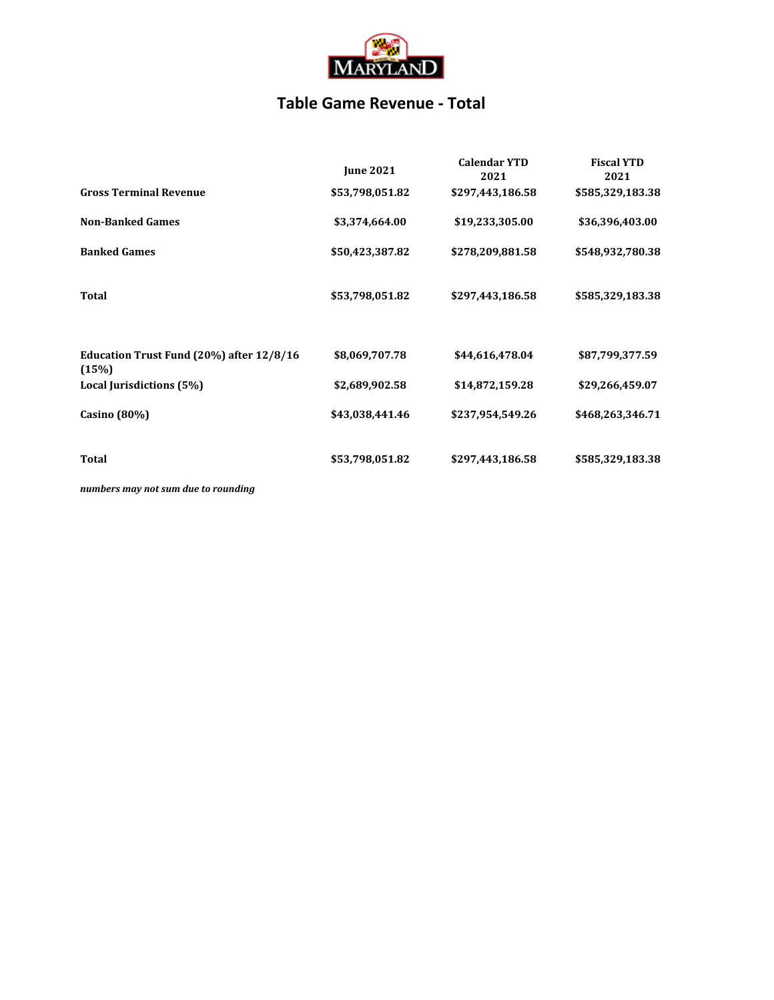

### **Table Game Revenue - Total**

|                                                   | <b>June 2021</b> | <b>Calendar YTD</b><br>2021 | <b>Fiscal YTD</b><br>2021 |
|---------------------------------------------------|------------------|-----------------------------|---------------------------|
| <b>Gross Terminal Revenue</b>                     | \$53,798,051.82  | \$297,443,186.58            | \$585,329,183.38          |
| <b>Non-Banked Games</b>                           | \$3,374,664.00   | \$19,233,305.00             | \$36,396,403.00           |
| <b>Banked Games</b>                               | \$50,423,387.82  | \$278,209,881.58            | \$548,932,780.38          |
| <b>Total</b>                                      | \$53,798,051.82  | \$297,443,186.58            | \$585,329,183.38          |
| Education Trust Fund (20%) after 12/8/16<br>(15%) | \$8,069,707.78   | \$44,616,478.04             | \$87,799,377.59           |
| Local Jurisdictions (5%)                          | \$2,689,902.58   | \$14,872,159.28             | \$29,266,459.07           |
| Casino $(80\%)$                                   | \$43,038,441.46  | \$237,954,549.26            | \$468,263,346.71          |
| Total                                             | \$53,798,051.82  | \$297,443,186.58            | \$585,329,183.38          |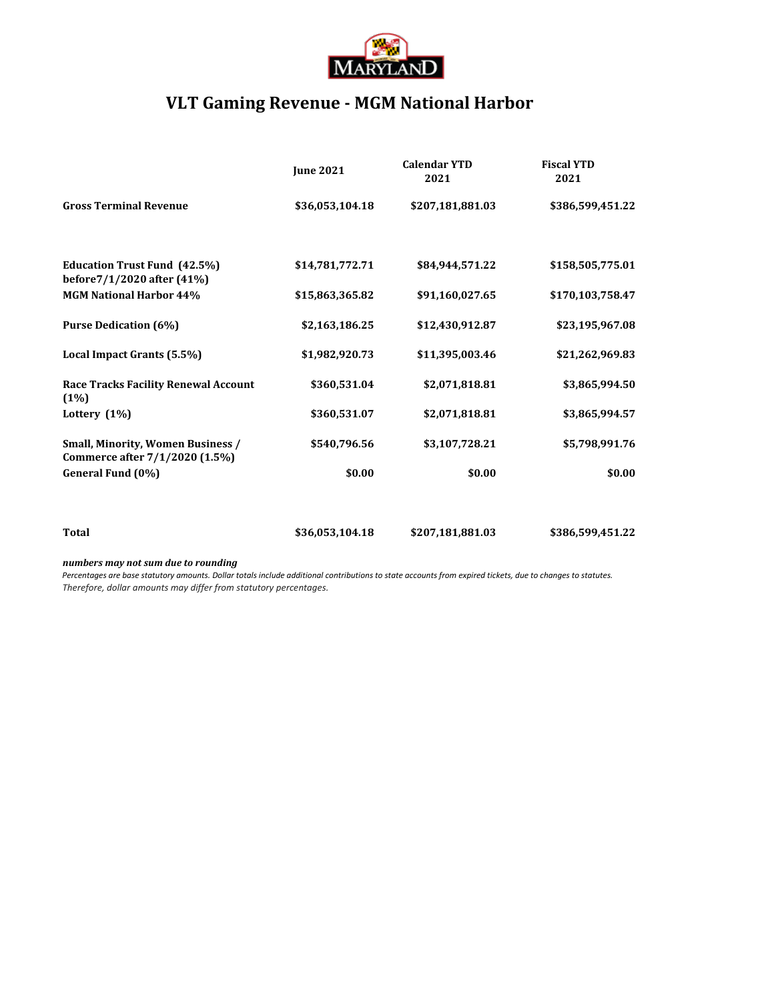

## **VLT Gaming Revenue - MGM National Harbor**

|                                                                            | <b>June 2021</b> | <b>Calendar YTD</b><br>2021 | <b>Fiscal YTD</b><br>2021 |
|----------------------------------------------------------------------------|------------------|-----------------------------|---------------------------|
| <b>Gross Terminal Revenue</b>                                              | \$36,053,104.18  | \$207,181,881.03            | \$386,599,451.22          |
| <b>Education Trust Fund (42.5%)</b><br>before7/1/2020 after (41%)          | \$14,781,772.71  | \$84,944,571.22             | \$158,505,775.01          |
| <b>MGM National Harbor 44%</b>                                             | \$15,863,365.82  | \$91,160,027.65             | \$170,103,758.47          |
| <b>Purse Dedication (6%)</b>                                               | \$2,163,186.25   | \$12,430,912.87             | \$23,195,967.08           |
| Local Impact Grants (5.5%)                                                 | \$1,982,920.73   | \$11,395,003.46             | \$21,262,969.83           |
| <b>Race Tracks Facility Renewal Account</b><br>(1%)                        | \$360,531.04     | \$2,071,818.81              | \$3,865,994.50            |
| Lottery $(1%)$                                                             | \$360,531.07     | \$2,071,818.81              | \$3,865,994.57            |
| <b>Small, Minority, Women Business /</b><br>Commerce after 7/1/2020 (1.5%) | \$540,796.56     | \$3,107,728.21              | \$5,798,991.76            |
| General Fund (0%)                                                          | \$0.00           | \$0.00                      | \$0.00                    |
|                                                                            |                  |                             |                           |
| <b>Total</b>                                                               | \$36,053,104.18  | \$207,181,881.03            | \$386,599,451.22          |

#### *numbers may not sum due to rounding*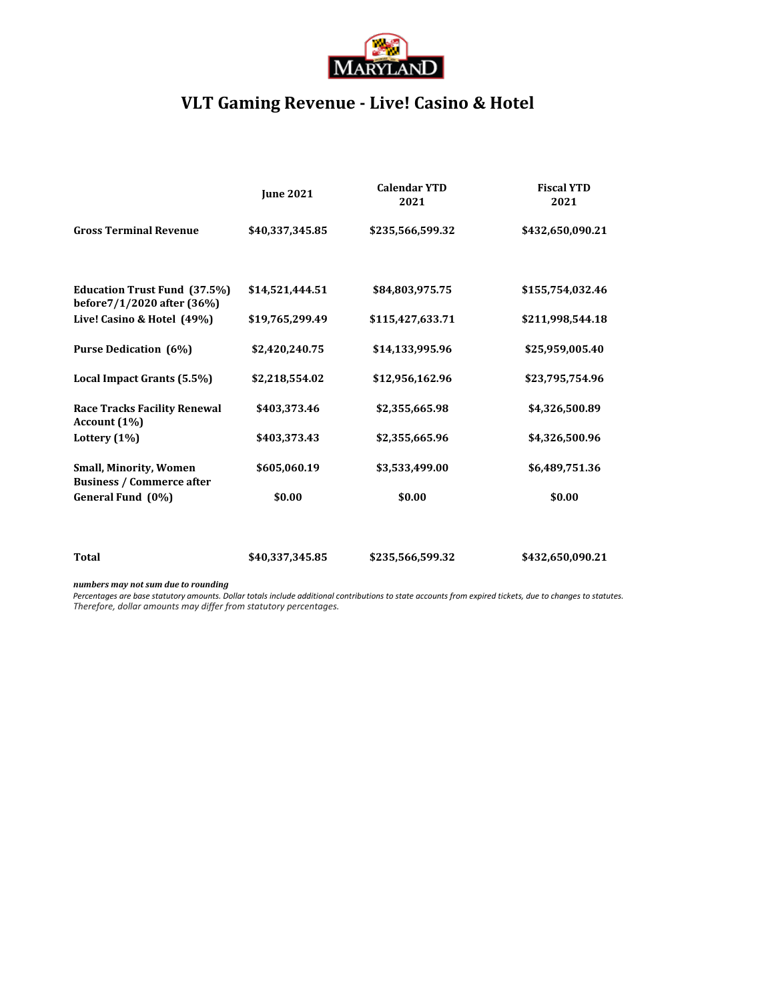

## **VLT Gaming Revenue - Live! Casino & Hotel**

|                                                                   | <b>June 2021</b> | <b>Calendar YTD</b><br>2021 | <b>Fiscal YTD</b><br>2021 |
|-------------------------------------------------------------------|------------------|-----------------------------|---------------------------|
| <b>Gross Terminal Revenue</b>                                     | \$40,337,345.85  | \$235,566,599.32            | \$432,650,090.21          |
| <b>Education Trust Fund (37.5%)</b><br>before7/1/2020 after (36%) | \$14,521,444.51  | \$84,803,975.75             | \$155,754,032.46          |
| Live! Casino & Hotel (49%)                                        | \$19,765,299.49  | \$115,427,633.71            | \$211,998,544.18          |
| <b>Purse Dedication (6%)</b>                                      | \$2,420,240.75   | \$14,133,995.96             | \$25,959,005.40           |
| Local Impact Grants (5.5%)                                        | \$2,218,554.02   | \$12,956,162.96             | \$23,795,754.96           |
| <b>Race Tracks Facility Renewal</b><br>Account (1%)               | \$403,373.46     | \$2,355,665.98              | \$4,326,500.89            |
| Lottery $(1%)$                                                    | \$403,373.43     | \$2,355,665.96              | \$4,326,500.96            |
| <b>Small, Minority, Women</b><br><b>Business / Commerce after</b> | \$605,060.19     | \$3,533,499.00              | \$6,489,751.36            |
| General Fund (0%)                                                 | \$0.00           | \$0.00                      | \$0.00                    |
| Total                                                             | \$40,337,345.85  | \$235,566,599.32            | \$432,650,090.21          |

#### *numbers may not sum due to rounding*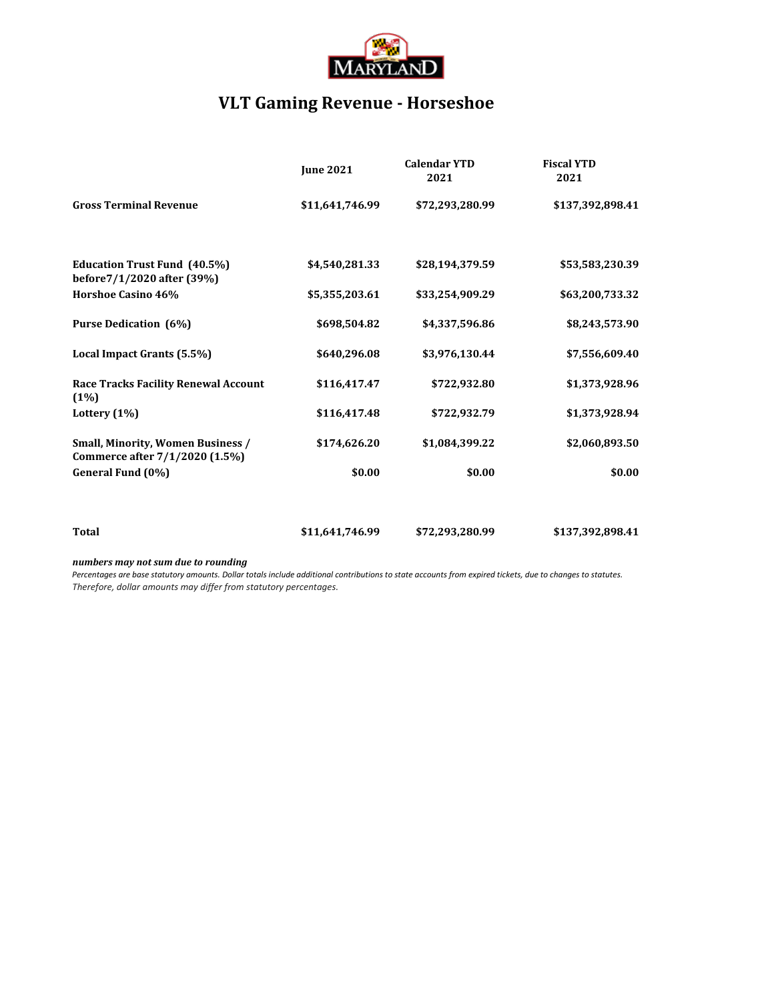

# **VLT Gaming Revenue - Horseshoe**

|                                                                            | <b>June 2021</b> | <b>Calendar YTD</b><br>2021 | <b>Fiscal YTD</b><br>2021 |
|----------------------------------------------------------------------------|------------------|-----------------------------|---------------------------|
| <b>Gross Terminal Revenue</b>                                              | \$11,641,746.99  | \$72,293,280.99             | \$137,392,898.41          |
| <b>Education Trust Fund (40.5%)</b><br>before7/1/2020 after (39%)          | \$4,540,281.33   | \$28,194,379.59             | \$53,583,230.39           |
| Horshoe Casino 46%                                                         | \$5,355,203.61   | \$33,254,909.29             | \$63,200,733.32           |
| <b>Purse Dedication (6%)</b>                                               | \$698,504.82     | \$4,337,596.86              | \$8,243,573.90            |
| Local Impact Grants (5.5%)                                                 | \$640,296.08     | \$3,976,130.44              | \$7,556,609.40            |
| <b>Race Tracks Facility Renewal Account</b><br>(1%)                        | \$116,417.47     | \$722,932.80                | \$1,373,928.96            |
| Lottery $(1%)$                                                             | \$116,417.48     | \$722,932.79                | \$1,373,928.94            |
| <b>Small, Minority, Women Business /</b><br>Commerce after 7/1/2020 (1.5%) | \$174,626.20     | \$1,084,399.22              | \$2,060,893.50            |
| General Fund (0%)                                                          | \$0.00           | \$0.00                      | \$0.00                    |
|                                                                            |                  |                             |                           |
| <b>Total</b>                                                               | \$11,641,746.99  | \$72,293,280.99             | \$137,392,898.41          |

#### *numbers may not sum due to rounding*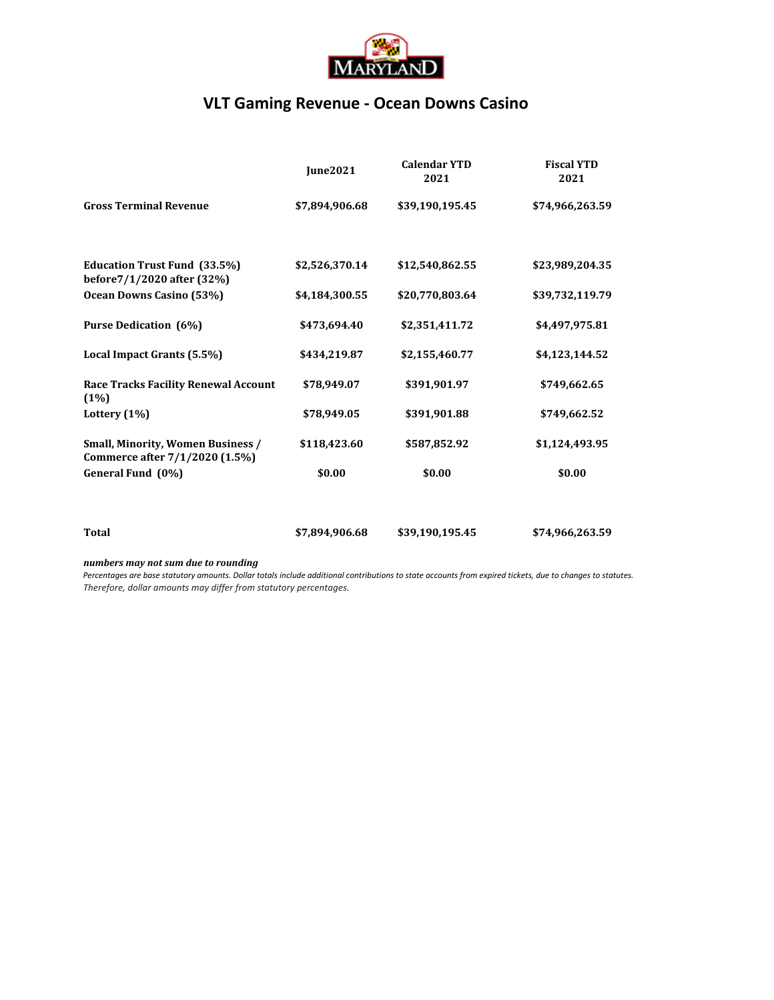

### **VLT Gaming Revenue - Ocean Downs Casino**

|                                                                     | <b>Iune2021</b> | <b>Calendar YTD</b><br>2021 | <b>Fiscal YTD</b><br>2021 |
|---------------------------------------------------------------------|-----------------|-----------------------------|---------------------------|
| <b>Gross Terminal Revenue</b>                                       | \$7,894,906.68  | \$39,190,195.45             | \$74,966,263.59           |
|                                                                     |                 |                             |                           |
| <b>Education Trust Fund (33.5%)</b><br>before7/1/2020 after (32%)   | \$2,526,370.14  | \$12,540,862.55             | \$23,989,204.35           |
| Ocean Downs Casino (53%)                                            | \$4,184,300.55  | \$20,770,803.64             | \$39,732,119.79           |
| <b>Purse Dedication (6%)</b>                                        | \$473,694.40    | \$2,351,411.72              | \$4,497,975.81            |
| Local Impact Grants (5.5%)                                          | \$434,219.87    | \$2,155,460.77              | \$4,123,144.52            |
| <b>Race Tracks Facility Renewal Account</b><br>(1%)                 | \$78,949.07     | \$391,901.97                | \$749,662.65              |
| Lottery $(1%)$                                                      | \$78,949.05     | \$391,901.88                | \$749,662.52              |
| Small, Minority, Women Business /<br>Commerce after 7/1/2020 (1.5%) | \$118,423.60    | \$587,852.92                | \$1,124,493.95            |
| General Fund (0%)                                                   | \$0.00          | \$0.00                      | \$0.00                    |
|                                                                     | \$7,894,906.68  |                             |                           |
| Total                                                               |                 | \$39,190,195.45             | \$74,966,263.59           |

#### *numbers may not sum due to rounding*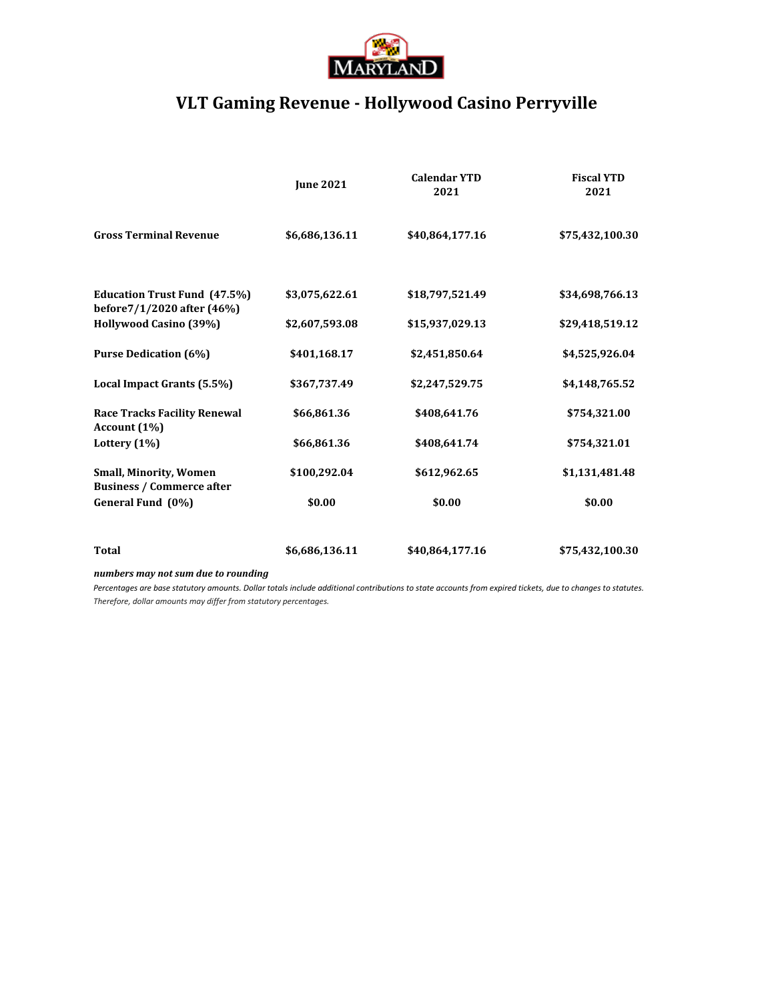

# **VLT Gaming Revenue - Hollywood Casino Perryville**

|                                                                   | <b>June 2021</b> | <b>Calendar YTD</b><br>2021 | <b>Fiscal YTD</b><br>2021 |
|-------------------------------------------------------------------|------------------|-----------------------------|---------------------------|
| <b>Gross Terminal Revenue</b>                                     | \$6,686,136.11   | \$40,864,177.16             | \$75,432,100.30           |
| <b>Education Trust Fund (47.5%)</b><br>before7/1/2020 after (46%) | \$3,075,622.61   | \$18,797,521.49             | \$34,698,766.13           |
| Hollywood Casino (39%)                                            | \$2,607,593.08   | \$15,937,029.13             | \$29,418,519.12           |
| <b>Purse Dedication (6%)</b>                                      | \$401,168.17     | \$2,451,850.64              | \$4,525,926.04            |
| Local Impact Grants (5.5%)                                        | \$367,737.49     | \$2,247,529.75              | \$4,148,765.52            |
| <b>Race Tracks Facility Renewal</b><br>Account (1%)               | \$66,861.36      | \$408,641.76                | \$754,321.00              |
| Lottery $(1\%)$                                                   | \$66,861.36      | \$408,641.74                | \$754,321.01              |
| <b>Small, Minority, Women</b><br><b>Business / Commerce after</b> | \$100,292.04     | \$612,962.65                | \$1,131,481.48            |
| General Fund (0%)                                                 | \$0.00           | \$0.00                      | \$0.00                    |
| <b>Total</b>                                                      | \$6,686,136.11   | \$40,864,177.16             | \$75,432,100.30           |
| numbers may not sum due to rounding                               |                  |                             |                           |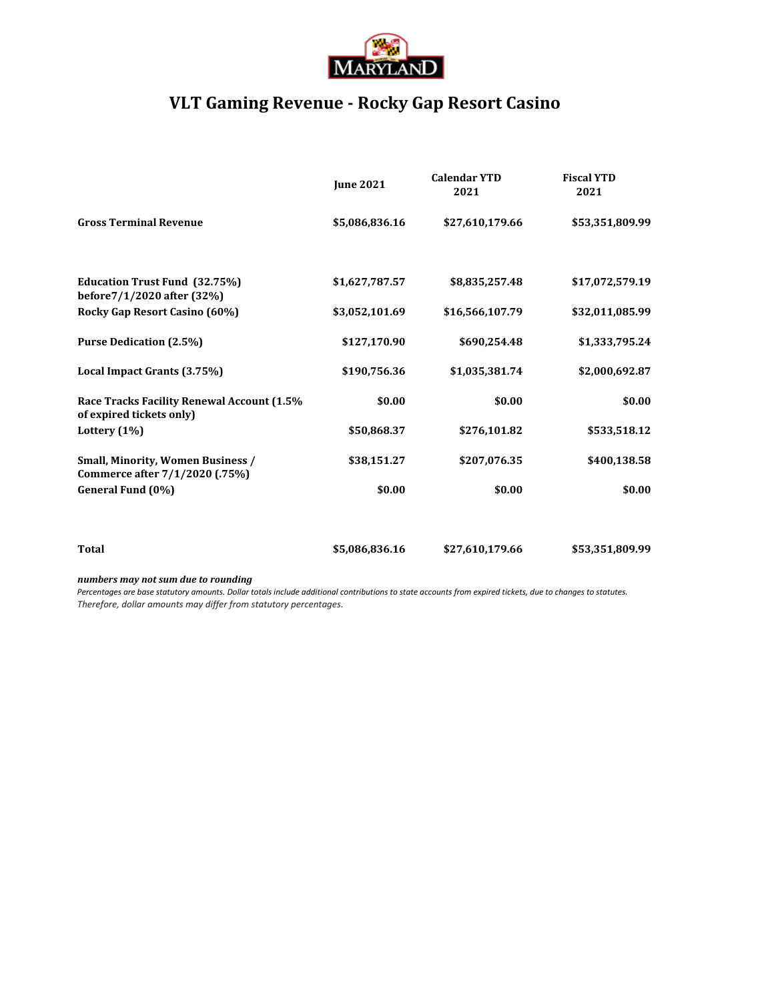

# **VLT Gaming Revenue - Rocky Gap Resort Casino**

|                                                                            | <b>June 2021</b> | <b>Calendar YTD</b><br>2021 | <b>Fiscal YTD</b><br>2021 |
|----------------------------------------------------------------------------|------------------|-----------------------------|---------------------------|
| <b>Gross Terminal Revenue</b>                                              | \$5,086,836.16   | \$27,610,179.66             | \$53,351,809.99           |
| <b>Education Trust Fund (32.75%)</b><br>before7/1/2020 after (32%)         | \$1,627,787.57   | \$8,835,257.48              | \$17,072,579.19           |
| Rocky Gap Resort Casino (60%)                                              | \$3,052,101.69   | \$16,566,107.79             | \$32,011,085.99           |
| <b>Purse Dedication (2.5%)</b>                                             | \$127,170.90     | \$690,254.48                | \$1,333,795.24            |
| Local Impact Grants (3.75%)                                                | \$190,756.36     | \$1,035,381.74              | \$2,000,692.87            |
| Race Tracks Facility Renewal Account (1.5%<br>of expired tickets only)     | \$0.00           | \$0.00                      | \$0.00                    |
| Lottery (1%)                                                               | \$50,868.37      | \$276,101.82                | \$533,518.12              |
| <b>Small, Minority, Women Business /</b><br>Commerce after 7/1/2020 (.75%) | \$38,151.27      | \$207,076.35                | \$400,138.58              |
| General Fund (0%)                                                          | \$0.00           | \$0.00                      | \$0.00                    |
|                                                                            |                  |                             |                           |
| <b>Total</b>                                                               | \$5,086,836.16   | \$27,610,179.66             | \$53,351,809.99           |
| secondo ana secondo e a tradición do actual de actual de a                 |                  |                             |                           |

*numbers may not sum due to rounding*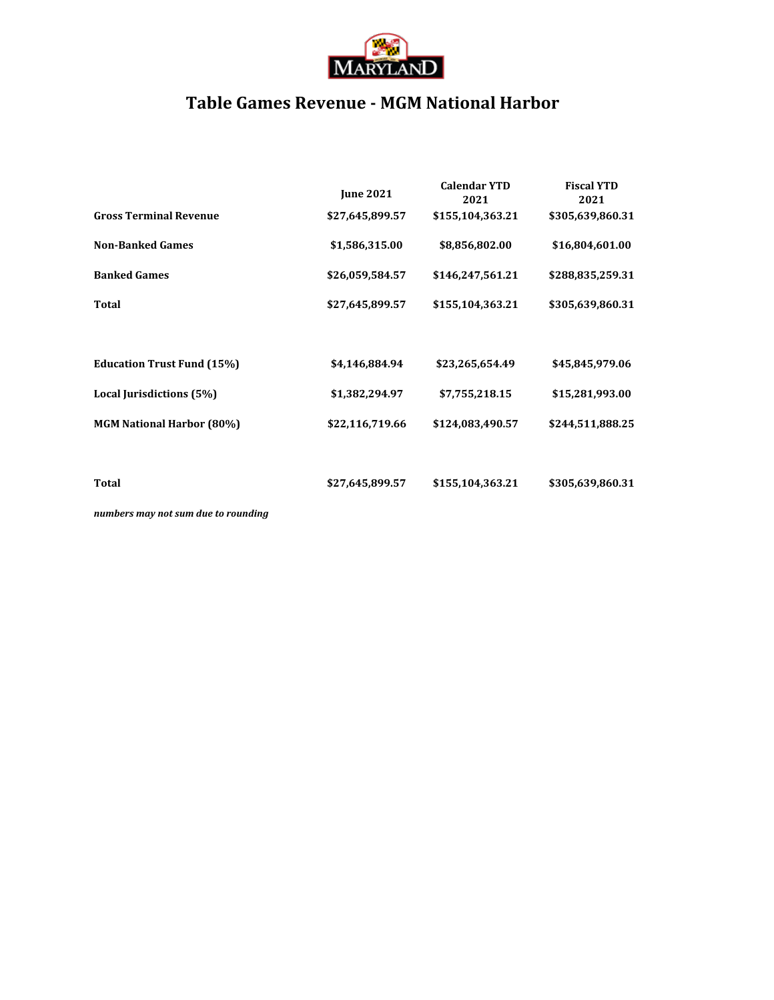

## **Table Games Revenue - MGM National Harbor**

|                                   | <b>June 2021</b> | <b>Calendar YTD</b><br>2021 | <b>Fiscal YTD</b><br>2021 |
|-----------------------------------|------------------|-----------------------------|---------------------------|
| <b>Gross Terminal Revenue</b>     | \$27,645,899.57  | \$155,104,363.21            | \$305,639,860.31          |
| <b>Non-Banked Games</b>           | \$1,586,315.00   | \$8,856,802.00              | \$16,804,601.00           |
| <b>Banked Games</b>               | \$26,059,584.57  | \$146,247,561.21            | \$288,835,259.31          |
| <b>Total</b>                      | \$27,645,899.57  | \$155,104,363.21            | \$305,639,860.31          |
|                                   |                  |                             |                           |
| <b>Education Trust Fund (15%)</b> | \$4,146,884.94   | \$23,265,654.49             | \$45,845,979.06           |
| Local Jurisdictions (5%)          | \$1,382,294.97   | \$7,755,218.15              | \$15,281,993.00           |
| <b>MGM National Harbor (80%)</b>  | \$22,116,719.66  | \$124,083,490.57            | \$244,511,888.25          |
|                                   |                  |                             |                           |
| Total                             | \$27,645,899.57  | \$155,104,363.21            | \$305,639,860.31          |
|                                   |                  |                             |                           |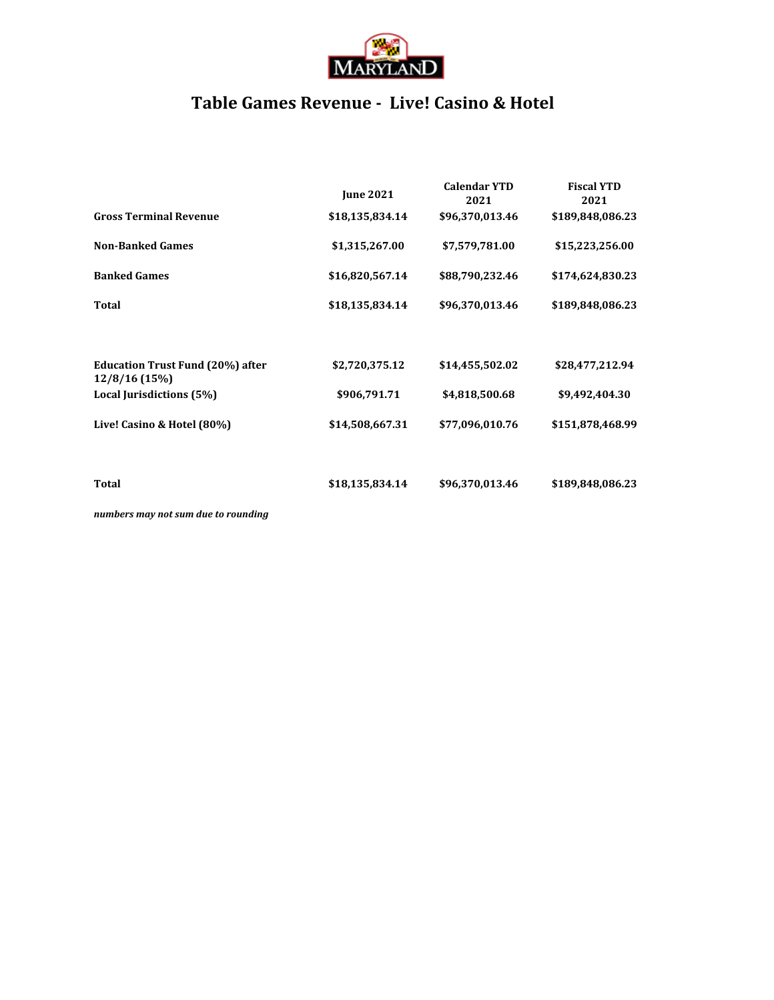

## **Table Games Revenue - Live! Casino & Hotel**

|                                                          | <b>June 2021</b> | <b>Calendar YTD</b><br>2021 | <b>Fiscal YTD</b><br>2021 |
|----------------------------------------------------------|------------------|-----------------------------|---------------------------|
| <b>Gross Terminal Revenue</b>                            | \$18,135,834.14  | \$96,370,013.46             | \$189,848,086.23          |
| <b>Non-Banked Games</b>                                  | \$1,315,267.00   | \$7,579,781.00              | \$15,223,256.00           |
| <b>Banked Games</b>                                      | \$16,820,567.14  | \$88,790,232.46             | \$174,624,830.23          |
| <b>Total</b>                                             | \$18,135,834.14  | \$96,370,013.46             | \$189,848,086.23          |
|                                                          |                  |                             |                           |
| <b>Education Trust Fund (20%) after</b><br>12/8/16 (15%) | \$2,720,375.12   | \$14,455,502.02             | \$28,477,212.94           |
| Local Jurisdictions (5%)                                 | \$906,791.71     | \$4,818,500.68              | \$9,492,404.30            |
| Live! Casino & Hotel (80%)                               | \$14,508,667.31  | \$77,096,010.76             | \$151,878,468.99          |
|                                                          |                  |                             |                           |
| Total                                                    | \$18,135,834.14  | \$96,370,013.46             | \$189,848,086.23          |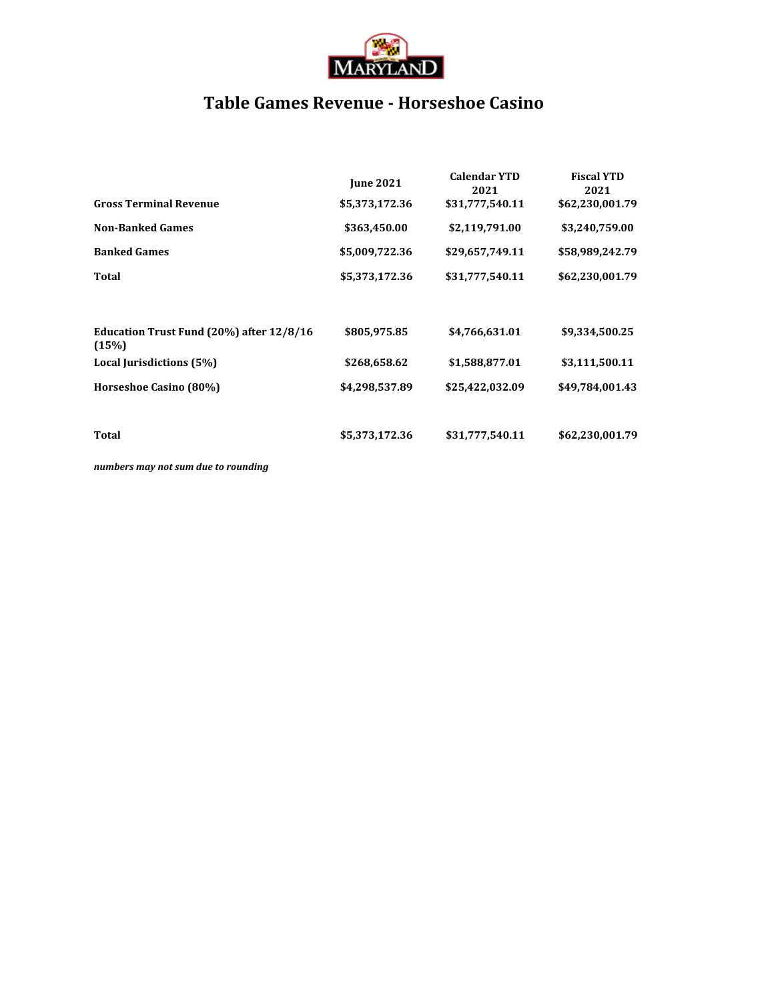

## **Table Games Revenue - Horseshoe Casino**

| <b>Gross Terminal Revenue</b>                     | <b>June 2021</b><br>\$5,373,172.36 | <b>Calendar YTD</b><br>2021<br>\$31,777,540.11 | <b>Fiscal YTD</b><br>2021<br>\$62,230,001.79 |
|---------------------------------------------------|------------------------------------|------------------------------------------------|----------------------------------------------|
| <b>Non-Banked Games</b>                           | \$363,450.00                       | \$2,119,791.00                                 | \$3,240,759.00                               |
| <b>Banked Games</b>                               | \$5,009,722.36                     | \$29,657,749.11                                | \$58,989,242.79                              |
| Total                                             | \$5,373,172.36                     | \$31,777,540.11                                | \$62,230,001.79                              |
| Education Trust Fund (20%) after 12/8/16<br>(15%) | \$805,975.85                       | \$4,766,631.01                                 | \$9,334,500.25                               |
| Local Jurisdictions (5%)                          | \$268,658.62                       | \$1,588,877.01                                 | \$3,111,500.11                               |
| Horseshoe Casino (80%)                            | \$4,298,537.89                     | \$25,422,032.09                                | \$49,784,001.43                              |
| Total                                             | \$5,373,172.36                     | \$31,777,540.11                                | \$62,230,001.79                              |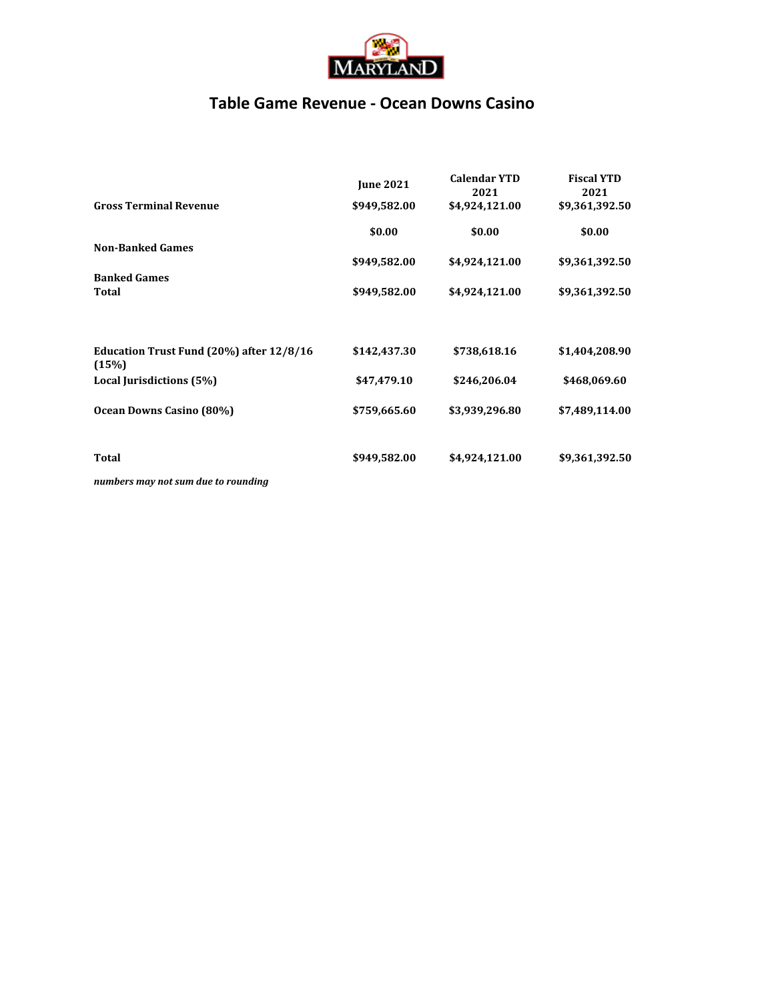

### **Table Game Revenue - Ocean Downs Casino**

|                                                   | <b>June 2021</b> | <b>Calendar YTD</b><br>2021 | <b>Fiscal YTD</b><br>2021 |
|---------------------------------------------------|------------------|-----------------------------|---------------------------|
| <b>Gross Terminal Revenue</b>                     | \$949,582.00     | \$4,924,121.00              | \$9,361,392.50            |
|                                                   | \$0.00           | \$0.00                      | \$0.00                    |
| <b>Non-Banked Games</b>                           |                  |                             |                           |
|                                                   | \$949,582.00     | \$4,924,121.00              | \$9,361,392.50            |
| <b>Banked Games</b>                               |                  |                             |                           |
| Total                                             | \$949,582.00     | \$4,924,121.00              | \$9,361,392.50            |
| Education Trust Fund (20%) after 12/8/16<br>(15%) | \$142,437.30     | \$738,618.16                | \$1,404,208.90            |
| Local Jurisdictions (5%)                          | \$47,479.10      | \$246,206.04                | \$468,069.60              |
| Ocean Downs Casino (80%)                          | \$759,665.60     | \$3,939,296.80              | \$7,489,114.00            |
| <b>Total</b>                                      | \$949,582.00     | \$4,924,121.00              | \$9,361,392.50            |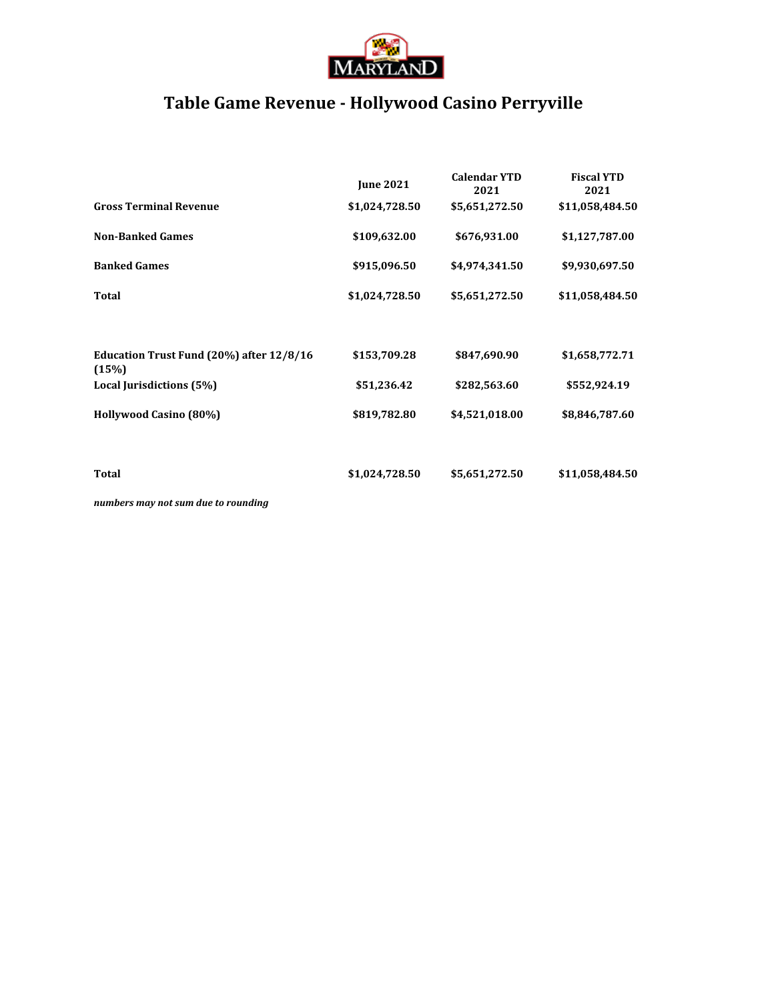

# **Table Game Revenue - Hollywood Casino Perryville**

|                                                   | <b>June 2021</b> | <b>Calendar YTD</b><br>2021 | <b>Fiscal YTD</b><br>2021 |
|---------------------------------------------------|------------------|-----------------------------|---------------------------|
| <b>Gross Terminal Revenue</b>                     | \$1,024,728.50   | \$5,651,272.50              | \$11,058,484.50           |
| <b>Non-Banked Games</b>                           | \$109,632.00     | \$676,931.00                | \$1,127,787.00            |
| <b>Banked Games</b>                               | \$915,096.50     | \$4,974,341.50              | \$9,930,697.50            |
| <b>Total</b>                                      | \$1,024,728.50   | \$5,651,272.50              | \$11,058,484.50           |
| Education Trust Fund (20%) after 12/8/16<br>(15%) | \$153,709.28     | \$847,690.90                | \$1,658,772.71            |
| Local Jurisdictions (5%)                          | \$51,236.42      | \$282,563.60                | \$552,924.19              |
| Hollywood Casino (80%)                            | \$819,782.80     | \$4,521,018.00              | \$8,846,787.60            |
| Total                                             | \$1,024,728.50   | \$5,651,272.50              | \$11,058,484.50           |